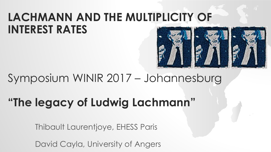

#### Symposium WINIR 2017 – Johannesburg

# **"The legacy of Ludwig Lachmann"**

Thibault Laurentjoye, EHESS Paris

David Cayla, University of Angers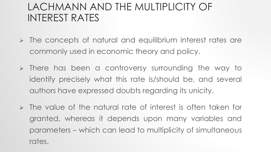- $\triangleright$  The concepts of natural and equilibrium interest rates are commonly used in economic theory and policy.
- $\triangleright$  There has been a controversy surrounding the way to identify precisely what this rate is/should be, and several authors have expressed doubts regarding its unicity.
- $\triangleright$  The value of the natural rate of interest is often taken for granted, whereas it depends upon many variables and parameters – which can lead to multiplicity of simultaneous rates.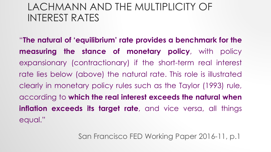"**The natural of 'equilibrium' rate provides a benchmark for the measuring the stance of monetary policy**, with policy expansionary (contractionary) if the short-term real interest rate lies below (above) the natural rate. This role is illustrated clearly in monetary policy rules such as the Taylor (1993) rule, according to **which the real interest exceeds the natural when inflation exceeds its target rate**, and vice versa, all things equal."

San Francisco FED Working Paper 2016-11, p.1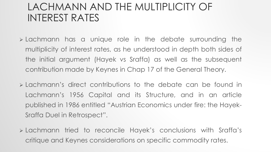- **Exambel 2** Lachmann has a unique role in the debate surrounding the multiplicity of interest rates, as he understood in depth both sides of the initial argument (Hayek vs Sraffa) as well as the subsequent contribution made by Keynes in Chap 17 of the General Theory.
- Lachmann's direct contributions to the debate can be found in Lachmann's 1956 Capital and its Structure, and in an article published in 1986 entitled "Austrian Economics under fire: the Hayek-Sraffa Duel in Retrospect".
- Lachmann tried to reconcile Hayek's conclusions with Sraffa's critique and Keynes considerations on specific commodity rates.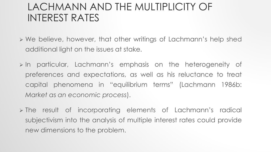- We believe, however, that other writings of Lachmann's help shed additional light on the issues at stake.
- In particular, Lachmann's emphasis on the heterogeneity of preferences and expectations, as well as his reluctance to treat capital phenomena in "equilibrium terms" (Lachmann 1986b: *Market as an economic process*).
- The result of incorporating elements of Lachmann's radical subjectivism into the analysis of multiple interest rates could provide new dimensions to the problem.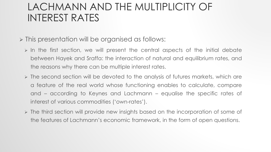- > This presentation will be organised as follows:
	- $\triangleright$  In the first section, we will present the central aspects of the initial debate between Hayek and Sraffa: the interaction of natural and equilibrium rates, and the reasons why there can be multiple interest rates.
	- The second section will be devoted to the analysis of futures markets, which are a feature of the real world whose functioning enables to calculate, compare and – according to Keynes and Lachmann – equalise the specific rates of interest of various commodities ('own-rates').
	- The third section will provide new insights based on the incorporation of some of the features of Lachmann's economic framework, in the form of open questions.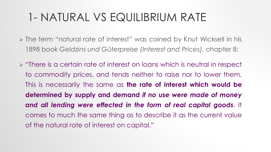- The term "natural rate of interest" was coined by Knut Wicksell in his 1898 book *Geldzins und Güterpreise (Interest and Prices)*, chapter 8:
- **Ex** "There is a certain rate of interest on loans which is neutral in respect to commodity prices, and tends neither to raise nor to lower them. This is necessarily the same as **the rate of interest which would be determined by supply and demand** *if no use were made of money and all lending were effected in the form of real capital goods*. It comes to much the same thing as to describe it as the current value of the natural rate of interest on capital."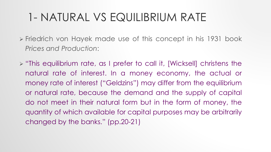- Friedrich von Hayek made use of this concept in his 1931 book *Prices and Production*:
- "This equilibrium rate, as I prefer to call it, [Wicksell] christens the natural rate of interest. In a money economy, the actual or money rate of interest ("Geldzins") may differ from the equilibrium or natural rate, because the demand and the supply of capital do not meet in their natural form but in the form of money, the quantity of which available for capital purposes may be arbitrarily changed by the banks." (pp.20-21)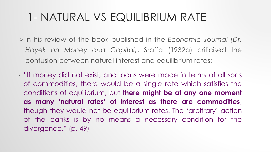- In his review of the book published in the *Economic Journal (Dr. Hayek on Money and Capital)*, Sraffa (1932a) criticised the confusion between natural interest and equilibrium rates:
- "If money did not exist, and loans were made in terms of all sorts of commodities, there would be a single rate which satisfies the conditions of equilibrium, but **there might be at any one moment as many 'natural rates' of interest as there are commodities**, though they would not be equilibrium rates. The 'arbitrary' action of the banks is by no means a necessary condition for the divergence." (p. 49)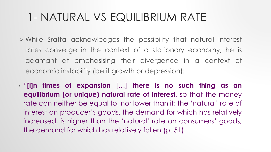- While Sraffa acknowledges the possibility that natural interest rates converge in the context of a stationary economy, he is adamant at emphasising their divergence in a context of economic instability (be it growth or depression):
- "**[I]n times of expansion** […] **there is no such thing as an equilibrium (or unique) natural rate of interest**, so that the money rate can neither be equal to, nor lower than it: the 'natural' rate of interest on producer's goods, the demand for which has relatively increased, is higher than the 'natural' rate on consumers' goods, the demand for which has relatively fallen (p. 51).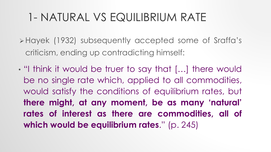Hayek (1932) subsequently accepted some of Sraffa's criticism, ending up contradicting himself:

• "I think it would be truer to say that […] there would be no single rate which, applied to all commodities, would satisfy the conditions of equilibrium rates, but **there might, at any moment, be as many 'natural' rates of interest as there are commodities, all of which would be equilibrium rates**." (p. 245)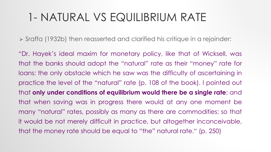Sraffa (1932b) then reasserted and clarified his critique in a rejoinder:

"Dr. Hayek's ideal maxim for monetary policy, like that of Wicksell, was that the banks should adopt the "natural" rate as their "money" rate for loans: the only obstacle which he saw was the difficulty of ascertaining in practice the level of the "natural" rate (p. 108 of the book). I pointed out that **only under conditions of equilibrium would there be a single rate**; and that when saving was in progress there would at any one moment be many "natural" rates, possibly as many as there are commodities; so that it would be not merely difficult in practice, but altogether inconceivable, that the money rate should be equal to "the" natural rate." (p. 250)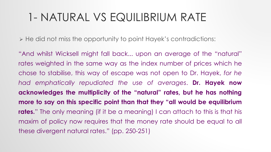He did not miss the opportunity to point Hayek's contradictions:

"And whilst Wicksell might fall back... upon an average of the "natural" rates weighted in the same way as the index number of prices which he chose to stabilise, this way of escape was not open to Dr. Hayek, *for he had emphatically repudiated the use of averages*. **Dr. Hayek now acknowledges the multiplicity of the "natural" rates, but he has nothing more to say on this specific point than that they "all would be equilibrium rates.**" The only meaning (if it be a meaning) I can attach to this is that his maxim of policy now requires that the money rate should be equal to all these divergent natural rates." (pp. 250-251)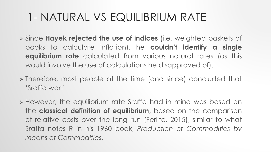- Since **Hayek rejected the use of indices** (i.e. weighted baskets of books to calculate inflation), he **couldn't identify a single equilibrium rate** calculated from various natural rates (as this would involve the use of calculations he disapproved of).
- $\triangleright$  Therefore, most people at the time (and since) concluded that 'Sraffa won'.
- However, the equilibrium rate Sraffa had in mind was based on the **classical definition of equilibrium**, based on the comparison of relative costs over the long run (Ferlito, 2015), similar to what Sraffa notes R in his 1960 book, *Production of Commodities by means of Commodities*.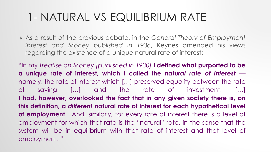As a result of the previous debate, in the *General Theory of Employment Interest and Money published in 1936*, Keynes amended his views regarding the existence of a unique natural rate of interest:

"In my *Treatise on Money [published in 1930]* **I defined what purported to be a unique rate of interest, which I called the** *natural rate of interest* namely, the rate of interest which […] preserved equality between the rate of saving […] and the rate of investment. […] **I had, however, overlooked the fact that in any given society there is, on this definition, a** *different* **natural rate of interest for each hypothetical level of employment**. And, similarly, for every rate of interest there is a level of employment for which that rate is the "natural" rate, in the sense that the system will be in equilibrium with that rate of interest and that level of employment. "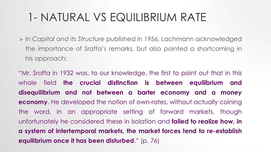In *Capital and its Structure* published in 1956, Lachmann acknowledged the importance of Sraffa's remarks, but also pointed a shortcoming in his approach:

"Mr. Sraffa in 1932 was, to our knowledge, the first to point out that in this whole field **the crucial distinction is between equilibrium and disequilibrium and not between a barter economy and a money economy**. He developed the notion of own-rates, without actually coining the word, in an appropriate setting of forward markets, though unfortunately he considered these in isolation and **failed to realize how, in a system of intertemporal markets, the market forces tend to re-establish equilibrium once it has been disturbed**." (p. 76)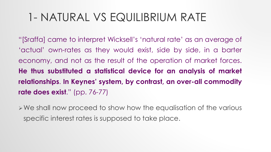"[Sraffa] came to interpret Wicksell's 'natural rate' as an average of 'actual' own-rates as they would exist, side by side, in a barter economy, and not as the result of the operation of market forces. **He thus substituted a statistical device for an analysis of market relationships**. **In Keynes' system, by contrast, an over-all commodity rate does exist**." (pp. 76-77)

We shall now proceed to show how the equalisation of the various specific interest rates is supposed to take place.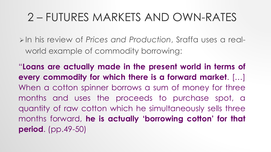In his review of *Prices and Production*, Sraffa uses a realworld example of commodity borrowing:

"**Loans are actually made in the present world in terms of every commodity for which there is a forward market**. […] When a cotton spinner borrows a sum of money for three months and uses the proceeds to purchase spot, a quantity of raw cotton which he simultaneously sells three months forward, **he is actually 'borrowing cotton' for that period**. (pp.49-50)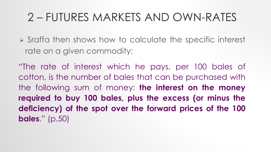$\triangleright$  Sraffa then shows how to calculate the specific interest rate on a given commodity:

"The rate of interest which he pays, per 100 bales of cotton, is the number of bales that can be purchased with the following sum of money: **the interest on the money required to buy 100 bales, plus the excess (or minus the deficiency) of the spot over the forward prices of the 100 bales**." (p.50)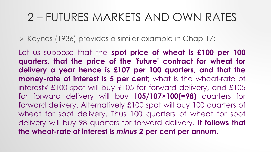▶ Keynes (1936) provides a similar example in Chap 17:

Let us suppose that the **spot price of wheat is £100 per 100 quarters, that the price of the 'future' contract for wheat for delivery a year hence is £107 per 100 quarters, and that the money-rate of interest is 5 per cent**; what is the wheat-rate of interest? £100 spot will buy £105 for forward delivery, and £105 for forward delivery will buy **105/107×100(=98)** quarters for forward delivery. Alternatively £100 spot will buy 100 quarters of wheat for spot delivery. Thus 100 quarters of wheat for spot delivery will buy 98 quarters for forward delivery. **It follows that the wheat-rate of interest is** *minus* **2 per cent per annum**.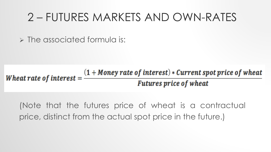$\triangleright$  The associated formula is:

Wheat rate of interest  $=$   $\frac{(1 + \text{Money rate of interest}) * Current spot price of wheat}{\text{Furthermore, which of which}}$ **Futures price of wheat** 

(Note that the futures price of wheat is a contractual price, distinct from the actual spot price in the future.)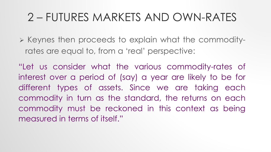$\triangleright$  Keynes then proceeds to explain what the commodityrates are equal to, from a 'real' perspective:

"Let us consider what the various commodity-rates of interest over a period of (say) a year are likely to be for different types of assets. Since we are taking each commodity in turn as the standard, the returns on each commodity must be reckoned in this context as being measured in terms of itself."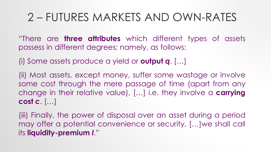"There are **three attributes** which different types of assets possess in different degrees; namely, as follows:

(i) Some assets produce a yield or **output** *q*. […]

(ii) Most assets, except money, suffer some wastage or involve some cost through the mere passage of time (apart from any change in their relative value), […] i.e. they involve a **carrying cost** *c*. […]

(iii) Finally, the power of disposal over an asset during a period may offer a potential convenience or security, […]we shall call its **liquidity-premium** *l*."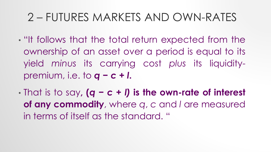- "It follows that the total return expected from the ownership of an asset over a period is equal to its yield *minus* its carrying cost *plus* its liquiditypremium, i.e. to *q* **−** *c* **+** *l***.**
- That is to say**, (***q* **−** *c* **+** *l)* **is the own-rate of interest of any commodity**, where *q*, *c* and *l* are measured in terms of itself as the standard. "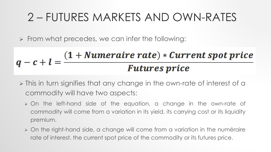$\triangleright$  From what precedes, we can infer the following:

$$
q-c+l=\frac{(1+Numeraire\ rate)*Current\ spot\ price}{Future\ price}
$$

- > This in turn signifies that any change in the own-rate of interest of a commodity will have two aspects:
	- On the left-hand side of the equation, a change in the own-rate of commodity will come from a variation in its yield, its carrying cost or its liquidity premium.
	- On the right-hand side, a change will come from a variation in the numéraire rate of interest, the current spot price of the commodity or its futures price.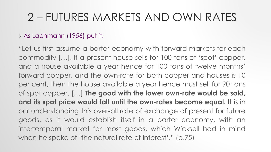#### As Lachmann (1956) put it:

"Let us first assume a barter economy with forward markets for each commodity […]. If a present house sells for 100 tons of 'spot' copper, and a house available a year hence for 100 tons of twelve months' forward copper, and the own-rate for both copper and houses is 10 per cent, then the house available a year hence must sell for 90 tons of spot copper. […] **The good with the lower own-rate would be sold, and its spot price would fall until the own-rates become equal.** It is in our understanding this over-all rate of exchange of present for future goods, as it would establish itself in a barter economy, with an intertemporal market for most goods, which Wicksell had in mind when he spoke of 'the natural rate of interest'." (p.75)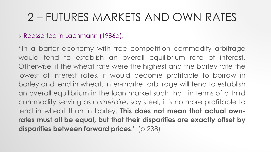#### Reasserted in Lachmann (1986a):

"In a barter economy with free competition commodity arbitrage would tend to establish an overall equilibrium rate of interest. Otherwise, if the wheat rate were the highest and the barley rate the lowest of interest rates, it would become profitable to borrow in barley and lend in wheat. Inter-market arbitrage will tend to establish an overall equilibrium in the loan market such that, in terms of a third commodity serving as *numéraire*, say steel, it is no more profitable to lend in wheat than in barley. **This does not mean that actual ownrates must all be equal, but that their disparities are exactly offset by disparities between forward prices**." (p.238)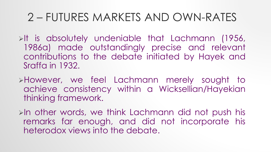$\triangleright$ It is absolutely undeniable that Lachmann (1956, 1986a) made outstandingly precise and relevant contributions to the debate initiated by Hayek and Sraffa in 1932.

- However, we feel Lachmann merely sought to achieve consistency within a Wicksellian/Hayekian thinking framework.
- $\triangleright$ In other words, we think Lachmann did not push his remarks far enough, and did not incorporate his heterodox views into the debate.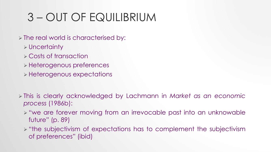- $\triangleright$  The real world is characterised by:
	- Uncertainty
	- Costs of transaction
	- Heterogenous preferences
	- Heterogenous expectations
- This is clearly acknowledged by Lachmann in *Market as an economic process* (1986b):
	- > "we are forever moving from an irrevocable past into an unknowable future" (p. 89)
	- $\triangleright$  "the subjectivism of expectations has to complement the subjectivism of preferences" (ibid)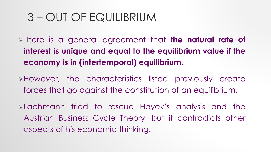There is a general agreement that **the natural rate of interest is unique and equal to the equilibrium value if the economy is in (intertemporal) equilibrium**.

However, the characteristics listed previously create forces that go against the constitution of an equilibrium.

Lachmann tried to rescue Hayek's analysis and the Austrian Business Cycle Theory, but it contradicts other aspects of his economic thinking.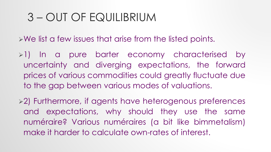$\triangleright$  We list a few issues that arise from the listed points.

- $\geq 1$ ) In a pure barter economy characterised by uncertainty and diverging expectations, the forward prices of various commodities could greatly fluctuate due to the gap between various modes of valuations.
- 2) Furthermore, if agents have heterogenous preferences and expectations, why should they use the same numéraire? Various numéraires (a bit like bimmetalism) make it harder to calculate own-rates of interest.